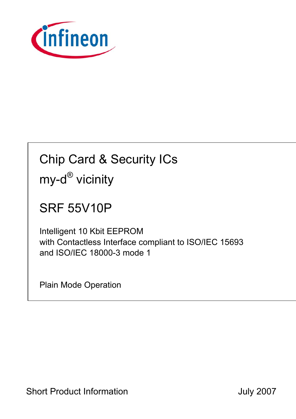

# Chip Card & Security ICs my-d<sup>®</sup> vicinity

## SRF 55V10P

Intelligent 10 Kbit EEPROM with Contactless Interface compliant to ISO/IEC 15693 and ISO/IEC 18000-3 mode 1

Plain Mode Operation

Short Product Information **Short Product Information July 2007**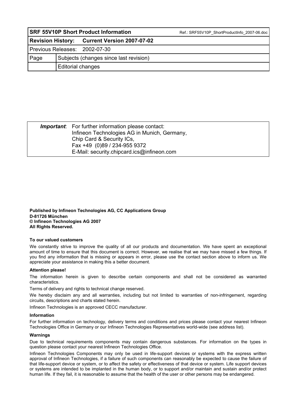| <b>SRF 55V10P Short Product Information</b> |                                        |                                              | Ref.: SRF55V10P ShortProductInfo 2007-06.doc |  |  |
|---------------------------------------------|----------------------------------------|----------------------------------------------|----------------------------------------------|--|--|
|                                             |                                        | Revision History: Current Version 2007-07-02 |                                              |  |  |
| Previous Releases: 2002-07-30               |                                        |                                              |                                              |  |  |
| Page                                        | Subjects (changes since last revision) |                                              |                                              |  |  |
|                                             | Editorial changes                      |                                              |                                              |  |  |

| <b>Important:</b> For further information please contact: |  |
|-----------------------------------------------------------|--|
| Infineon Technologies AG in Munich, Germany,              |  |
| Chip Card & Security ICs,                                 |  |
| Fax +49 (0)89 / 234-955 9372                              |  |
| E-Mail: security.chipcard.ics@infineon.com                |  |

**Published by Infineon Technologies AG, CC Applications Group D-81726 München © Infineon Technologies AG 2007 All Rights Reserved.** 

#### **To our valued customers**

We constantly strive to improve the quality of all our products and documentation. We have spent an exceptional amount of time to ensure that this document is correct. However, we realise that we may have missed a few things. If you find any information that is missing or appears in error, please use the contact section above to inform us. We appreciate your assistance in making this a better document.

#### **Attention please!**

The information herein is given to describe certain components and shall not be considered as warranted characteristics.

Terms of delivery and rights to technical change reserved.

We hereby disclaim any and all warranties, including but not limited to warranties of non-infringement, regarding circuits, descriptions and charts stated herein.

Infineon Technologies is an approved CECC manufacturer.

#### **Information**

For further information on technology, delivery terms and conditions and prices please contact your nearest Infineon Technologies Office in Germany or our Infineon Technologies Representatives world-wide (see address list).

#### **Warnings**

Due to technical requirements components may contain dangerous substances. For information on the types in question please contact your nearest Infineon Technologies Office.

Infineon Technologies Components may only be used in life-support devices or systems with the express written approval of Infineon Technologies, if a failure of such components can reasonably be expected to cause the failure of that life-support device or system, or to affect the safety or effectiveness of that device or system. Life support devices or systems are intended to be implanted in the human body, or to support and/or maintain and sustain and/or protect human life. If they fail, it is reasonable to assume that the health of the user or other persons may be endangered.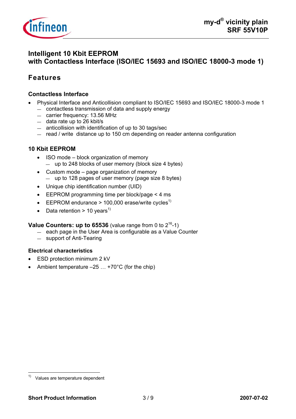

## **Intelligent 10 Kbit EEPROM with Contactless Interface (ISO/IEC 15693 and ISO/IEC 18000-3 mode 1)**

## **Features**

#### **Contactless Interface**

- Physical Interface and Anticollision compliant to ISO/IEC 15693 and ISO/IEC 18000-3 mode 1
	- contactless transmission of data and supply energy
	- carrier frequency: 13.56 MHz
	- data rate up to 26 kbit/s
	- anticollision with identification of up to 30 tags/sec
	- read / write distance up to 150 cm depending on reader antenna configuration

#### **10 Kbit EEPROM**

- ISO mode block organization of memory — up to 248 blocks of user memory (block size 4 bytes)
- Custom mode page organization of memory — up to 128 pages of user memory (page size 8 bytes)
- Unique chip identification number (UID)
- EEPROM programming time per block/page < 4 ms
- EEPROM endurance > 100,000 erase/write cycles<sup>1)</sup>
- Data retention > 10 years<sup>1)</sup>

#### **Value Counters: up to 65536** (value range from 0 to  $2^{16}$ -1)

- each page in the User Area is configurable as a Value Counter
- support of Anti-Tearing

#### **Electrical characteristics**

- ESD protection minimum 2 kV
- Ambient temperature  $-25$   $\dots$  +70°C (for the chip)

 $1)$ Values are temperature dependent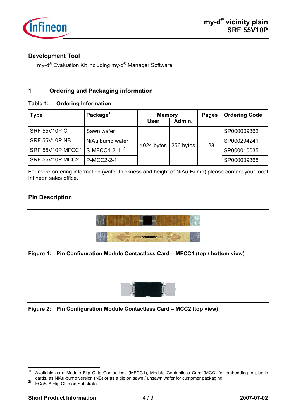

#### **Development Tool**

 $-$  my-d<sup>®</sup> Evaluation Kit including my-d<sup>®</sup> Manager Software

#### **1 Ordering and Packaging information**

#### **Table 1: Ordering Information**

| <b>Type</b>                                | Package <sup>1)</sup> | <b>Memory</b><br>User | Admin.    | <b>Pages</b> | <b>Ordering Code</b> |
|--------------------------------------------|-----------------------|-----------------------|-----------|--------------|----------------------|
| <b>SRF 55V10P C</b>                        | Sawn wafer            |                       | 256 bytes | 128          | SP000009362          |
| <b>SRF 55V10P NB</b>                       | NiAu bump wafer       | 1024 bytes            |           |              | SP000294241          |
| SRF 55V10P MFCC1 S-MFCC1-2-1 <sup>2)</sup> |                       |                       |           |              | SP000010035          |
| SRF 55V10P MCC2                            | <b>P-MCC2-2-1</b>     |                       |           |              | SP000009365          |

For more ordering information (wafer thickness and height of NiAu-Bump) please contact your local Infineon sales office.

#### **Pin Description**



#### **Figure 1: Pin Configuration Module Contactless Card – MFCC1 (top / bottom view)**



#### **Figure 2: Pin Configuration Module Contactless Card – MCC2 (top view)**

 $1)$ Available as a Module Flip Chip Contactless (MFCC1), Module Contactless Card (MCC) for embedding in plastic cards, as NiAu-bump version (NB) or as a die on sawn / unsawn wafer for customer packaging 2) FCoS™ Flip Chip on Substrate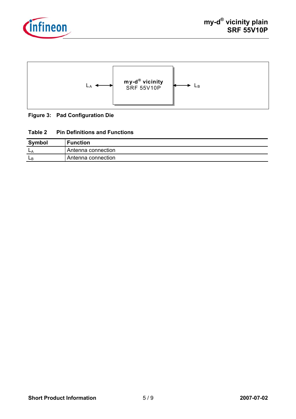



#### **Figure 3: Pad Configuration Die**

#### **Table 2 Pin Definitions and Functions**

| Symbol | <b>Function</b>    |
|--------|--------------------|
| $-k$   | Antenna connection |
| ĿВ     | Antenna connection |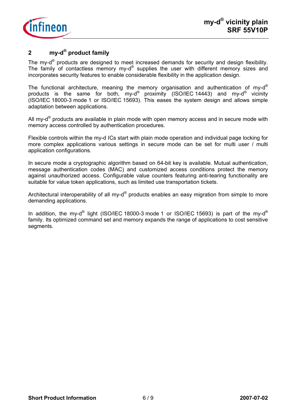

## **2 my-d® product family**

The my-d<sup>®</sup> products are designed to meet increased demands for security and design flexibility. The family of contactless memory my-d® supplies the user with different memory sizes and incorporates security features to enable considerable flexibility in the application design.

The functional architecture, meaning the memory organisation and authentication of my-d<sup>®</sup> products is the same for both, my-d® proximity (ISO/IEC 14443) and my-d® vicinity (ISO/IEC 18000-3 mode 1 or ISO/IEC 15693). This eases the system design and allows simple adaptation between applications.

All my- $d^{\circ}$  products are available in plain mode with open memory access and in secure mode with memory access controlled by authentication procedures.

Flexible controls within the my-d ICs start with plain mode operation and individual page locking for more complex applications various settings in secure mode can be set for multi user / multi application configurations.

In secure mode a cryptographic algorithm based on 64-bit key is available. Mutual authentication, message authentication codes (MAC) and customized access conditions protect the memory against unauthorized access. Configurable value counters featuring anti-tearing functionality are suitable for value token applications, such as limited use transportation tickets.

Architectural interoperability of all my- $d^{\circledast}$  products enables an easy migration from simple to more demanding applications.

In addition, the my-d<sup>®</sup> light (ISO/IEC 18000-3 mode 1 or ISO/IEC 15693) is part of the my-d<sup>®</sup> family. Its optimized command set and memory expands the range of applications to cost sensitive segments.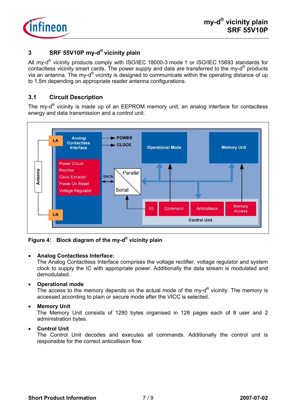

## **3 SRF 55V10P my-d® vicinity plain**

All my-d<sup>®</sup> vicinity products comply with ISO/IEC 18000-3 mode 1 or ISO/IEC 15693 standards for contactless vicinity smart cards. The power supply and data are transferred to the my-d® products via an antenna. The my-d® vicinity is designed to communicate within the operating distance of up to 1.5m depending on appropriate reader antenna configurations.

#### **3.1 Circuit Description**

The my-d® vicinity is made up of an EEPROM memory unit, an analog interface for contactless energy and data transmission and a control unit.



**Figure 4: Block diagram of the my-d® vicinity plain** 

#### • **Analog Contactless Interface:**

The Analog Contactless Interface comprises the voltage rectifier, voltage regulator and system clock to supply the IC with appropriate power. Additionally the data stream is modulated and demodulated.

#### • **Operational mode**

The access to the memory depends on the actual mode of the my- $d^{\circledast}$  vicinity. The memory is accessed according to plain or secure mode after the VICC is selected.

#### • **Memory Unit**

The Memory Unit consists of 1280 bytes organised in 128 pages each of 8 user and 2 administration bytes.

#### • **Control Unit**

The Control Unit decodes and executes all commands. Additionally the control unit is responsible for the correct anticollision flow.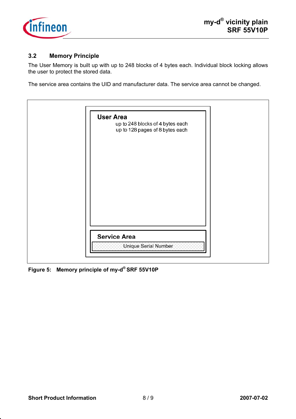

#### **3.2 Memory Principle**

The User Memory is built up with up to 248 blocks of 4 bytes each. Individual block locking allows the user to protect the stored data.

The service area contains the UID and manufacturer data. The service area cannot be changed.

**Figure 5: Memory principle of my-d® SRF 55V10P**